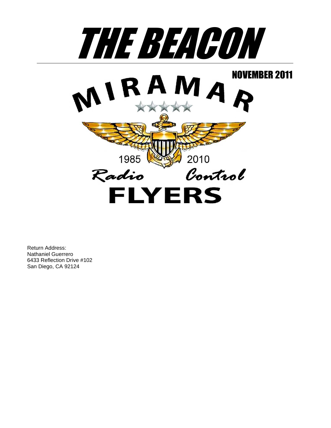

Return Address: Nathaniel Guerrero 6433 Reflection Drive #102 San Diego, CA 92124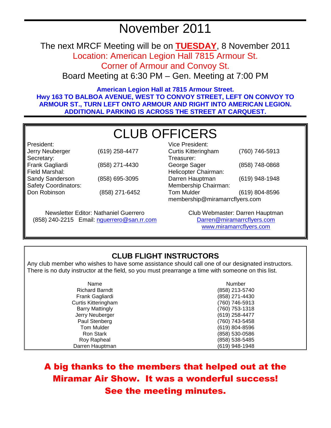# November 2011

The next MRCF Meeting will be on **TUESDAY**, 8 November 2011 Location: American Legion Hall 7815 Armour St.

Corner of Armour and Convoy St.

Board Meeting at 6:30 PM – Gen. Meeting at 7:00 PM

**American Legion Hall at 7815 Armour Street. Hwy 163 TO BALBOA AVENUE, WEST TO CONVOY STREET, LEFT ON CONVOY TO ARMOUR ST., TURN LEFT ONTO ARMOUR AND RIGHT INTO AMERICAN LEGION. ADDITIONAL PARKING IS ACROSS THE STREET AT CARQUEST.** 

# CLUB OFFICERS

President: Jerry Neuberger (619) 258-4477 Secretary: Frank Gagliardi (858) 271-4430 Field Marshal: Sandy Sanderson (858) 695-3095 Safety Coordinators: Don Robinson (858) 271-6452

Newsletter Editor: Nathaniel Guerrero (858) 240-2215 Email: nguerrero@san.rr.com

| Vice President:                |                |  |
|--------------------------------|----------------|--|
| <b>Curtis Kitteringham</b>     | (760) 746-5913 |  |
| Treasurer:                     |                |  |
| George Sager                   | (858) 748-0868 |  |
| Helicopter Chairman:           |                |  |
| Darren Hauptman                | (619) 948-1948 |  |
| Membership Chairman:           |                |  |
| <b>Tom Mulder</b>              | (619) 804-8596 |  |
| membership@miramarrcflyers.com |                |  |

Club Webmaster: Darren Hauptman Darren@miramarrcflyers.com www.miramarrcflyers.com

## **CLUB FLIGHT INSTRUCTORS**

Any club member who wishes to have some assistance should call one of our designated instructors. There is no duty instructor at the field, so you must prearrange a time with someone on this list.

| Name                       | Number             |
|----------------------------|--------------------|
| <b>Richard Barndt</b>      | (858) 213-5740     |
| Frank Gagliardi            | (858) 271-4430     |
| <b>Curtis Kitteringham</b> | (760) 746-5913     |
| <b>Barry Mattingly</b>     | (760) 753-1318     |
| Jerry Neuberger            | (619) 258-4477     |
| Paul Stenberg              | (760) 743-5458     |
| <b>Tom Mulder</b>          | $(619) 804 - 8596$ |
| Ron Stark                  | (858) 530-0586     |
| Roy Rapheal                | (858) 538-5485     |
| Darren Hauptman            | (619) 948-1948     |

A big thanks to the members that helped out at the Miramar Air Show. It was a wonderful success! See the meeting minutes.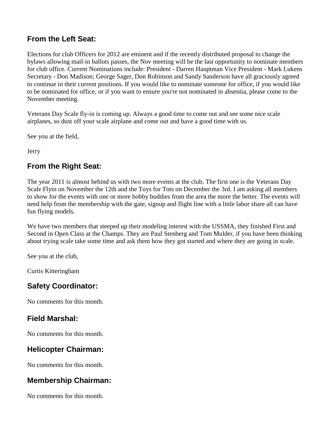## **From the Left Seat:**

Elections for club Officers for 2012 are eminent and if the recently distributed proposal to change the bylaws allowing mail-in ballots passes, the Nov meeting will be the last opportunity to nominate members for club office. Current Nominations include: President - Darren Hauptman Vice President - Mark Lukens Secretary - Don Madison; George Sager, Don Robinson and Sandy Sanderson have all graciously agreed to continue in their current positions. If you would like to nominate someone for office, if you would like to be nominated for office, or if you want to ensure you're not nominated in absentia, please come to the November meeting.

Veterans Day Scale fly-in is coming up. Always a good time to come out and see some nice scale airplanes, so dust off your scale airplane and come out and have a good time with us.

See you at the field,

Jerry

## **From the Right Seat:**

The year 2011 is almost behind us with two more events at the club. The first one is the Veterans Day Scale Flyin on November the 12th and the Toys for Tots on December the 3rd. I am asking all members to show for the events with one or more hobby buddies from the area the more the better. The events will need help from the membership with the gate, signup and flight line with a little labor share all can have fun flying models.

We have two members that steeped up their modeling interest with the USSMA, they finished First and Second in Open Class at the Champs. They are Paul Stenberg and Tom Mulder, if you have been thinking about trying scale take some time and ask them how they got started and where they are going in scale.

See you at the club,

Curtis Kitteringham

## **Safety Coordinator:**

No comments for this month.

## **Field Marshal:**

No comments for this month.

## **Helicopter Chairman:**

No comments for this month.

## **Membership Chairman:**

No comments for this month.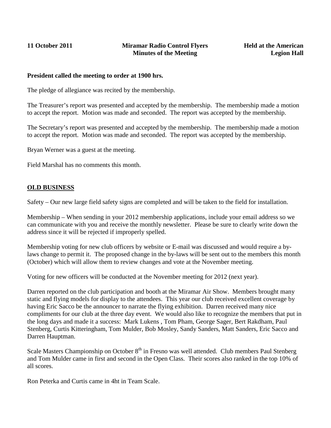#### **President called the meeting to order at 1900 hrs.**

The pledge of allegiance was recited by the membership.

The Treasurer's report was presented and accepted by the membership. The membership made a motion to accept the report. Motion was made and seconded. The report was accepted by the membership.

The Secretary's report was presented and accepted by the membership. The membership made a motion to accept the report. Motion was made and seconded. The report was accepted by the membership.

Bryan Werner was a guest at the meeting.

Field Marshal has no comments this month.

#### **OLD BUSINESS**

Safety – Our new large field safety signs are completed and will be taken to the field for installation.

Membership – When sending in your 2012 membership applications, include your email address so we can communicate with you and receive the monthly newsletter. Please be sure to clearly write down the address since it will be rejected if improperly spelled.

Membership voting for new club officers by website or E-mail was discussed and would require a bylaws change to permit it. The proposed change in the by-laws will be sent out to the members this month (October) which will allow them to review changes and vote at the November meeting.

Voting for new officers will be conducted at the November meeting for 2012 (next year).

Darren reported on the club participation and booth at the Miramar Air Show. Members brought many static and flying models for display to the attendees. This year our club received excellent coverage by having Eric Sacco be the announcer to narrate the flying exhibition. Darren received many nice compliments for our club at the three day event. We would also like to recognize the members that put in the long days and made it a success: Mark Lukens , Tom Pham, George Sager, Bert Rakdham, Paul Stenberg, Curtis Kitteringham, Tom Mulder, Bob Mosley, Sandy Sanders, Matt Sanders, Eric Sacco and Darren Hauptman.

Scale Masters Championship on October  $8<sup>th</sup>$  in Fresno was well attended. Club members Paul Stenberg and Tom Mulder came in first and second in the Open Class. Their scores also ranked in the top 10% of all scores.

Ron Peterka and Curtis came in 4ht in Team Scale.